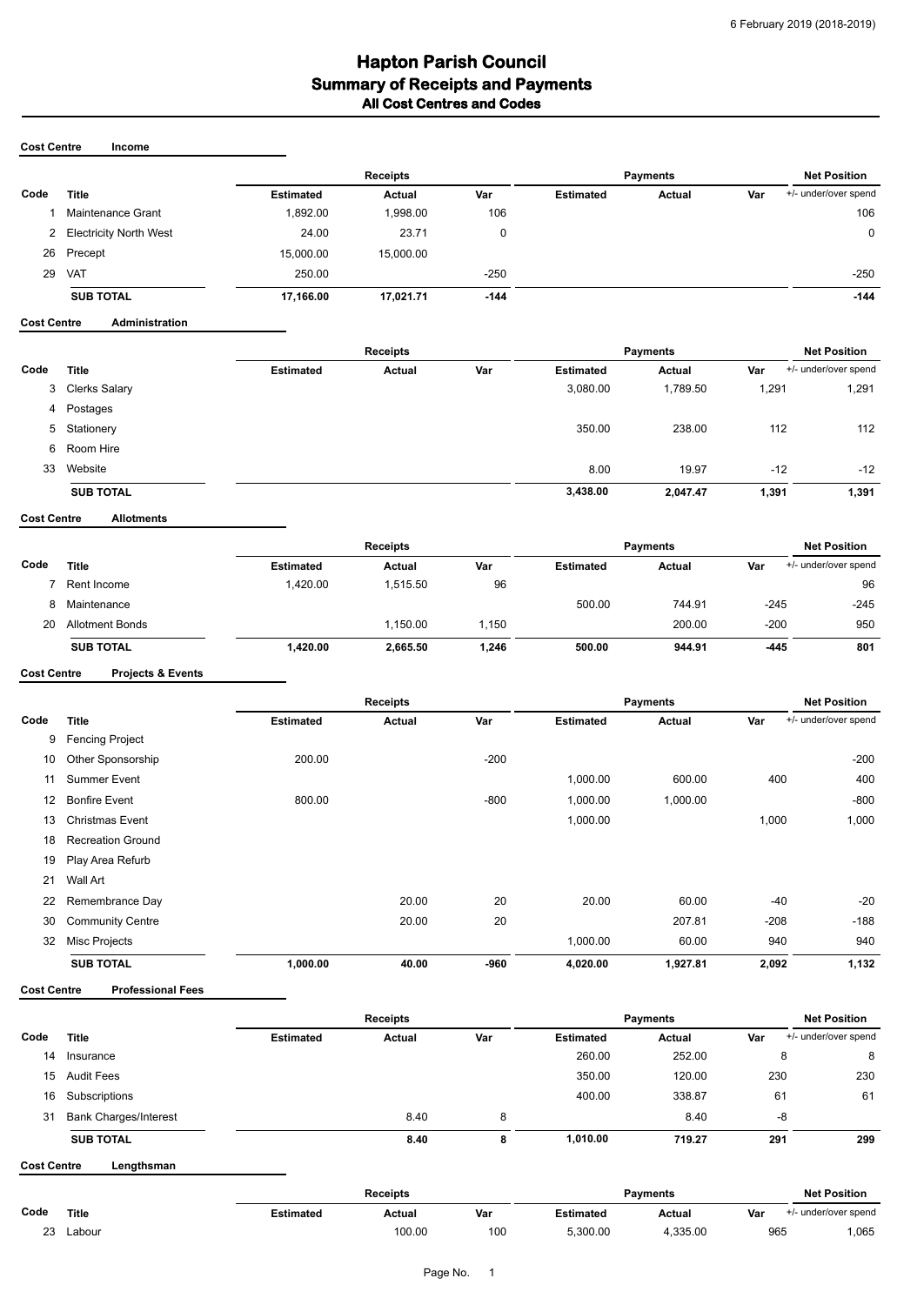## **Hapton Parish Council<br>Summary of Receipts and Payments All Cost Centres and Codes**

#### **Cost Centre Income**

|      |                        |                  | <b>Receipts</b> |        |                  | <b>Payments</b> |     |                      |
|------|------------------------|------------------|-----------------|--------|------------------|-----------------|-----|----------------------|
| Code | <b>Title</b>           | <b>Estimated</b> | Actual          | Var    | <b>Estimated</b> | Actual          | Var | +/- under/over spend |
|      | Maintenance Grant      | 1,892.00         | 1.998.00        | 106    |                  |                 |     | 106                  |
| 2    | Electricity North West | 24.00            | 23.71           |        |                  |                 |     | 0                    |
|      | 26 Precept             | 15,000.00        | 15,000.00       |        |                  |                 |     |                      |
| 29   | <b>VAT</b>             | 250.00           |                 | $-250$ |                  |                 |     | $-250$               |
|      | <b>SUB TOTAL</b>       | 17,166.00        | 17.021.71       | $-144$ |                  |                 |     | $-144$               |

### **Cost Centre Administration**

|      |                  | <b>Receipts</b>  |        |     | <b>Payments</b>  |          |       | <b>Net Position</b>  |  |
|------|------------------|------------------|--------|-----|------------------|----------|-------|----------------------|--|
| Code | <b>Title</b>     | <b>Estimated</b> | Actual | Var | <b>Estimated</b> | Actual   | Var   | +/- under/over spend |  |
| 3    | Clerks Salary    |                  |        |     | 3,080.00         | 1,789.50 | 1,291 | 1,291                |  |
| 4    | Postages         |                  |        |     |                  |          |       |                      |  |
| 5    | Stationery       |                  |        |     | 350.00           | 238.00   | 112   | 112                  |  |
| 6    | Room Hire        |                  |        |     |                  |          |       |                      |  |
| 33   | Website          |                  |        |     | 8.00             | 19.97    | $-12$ | $-12$                |  |
|      | <b>SUB TOTAL</b> |                  |        |     | 3,438.00         | 2,047.47 | 1,391 | 1,391                |  |

**Cost Centre Allotments**

|      |                        |                  | <b>Receipts</b> | <b>Payments</b> |                  |        | <b>Net Position</b> |                      |  |
|------|------------------------|------------------|-----------------|-----------------|------------------|--------|---------------------|----------------------|--|
| Code | Title                  | <b>Estimated</b> | Actual          | Var             | <b>Estimated</b> | Actual | Var                 | +/- under/over spend |  |
|      | Rent Income            | 1.420.00         | 1.515.50        | 96              |                  |        |                     | 96                   |  |
|      | Maintenance            |                  |                 |                 | 500.00           | 744.91 | $-245$              | $-245$               |  |
| 20   | <b>Allotment Bonds</b> |                  | 1.150.00        | 1,150           |                  | 200.00 | $-200$              | 950                  |  |
|      | <b>SUB TOTAL</b>       | 1,420.00         | 2,665.50        | 1,246           | 500.00           | 944.91 | $-445$              | 801                  |  |

### **Cost Centre Projects & Events**

|                   |                          | <b>Receipts</b>  |        |        | Payments         |          |        | <b>Net Position</b>  |  |
|-------------------|--------------------------|------------------|--------|--------|------------------|----------|--------|----------------------|--|
| Code              | <b>Title</b>             | <b>Estimated</b> | Actual | Var    | <b>Estimated</b> | Actual   | Var    | +/- under/over spend |  |
| 9                 | <b>Fencing Project</b>   |                  |        |        |                  |          |        |                      |  |
| 10                | Other Sponsorship        | 200.00           |        | $-200$ |                  |          |        | $-200$               |  |
| 11                | Summer Event             |                  |        |        | 1,000.00         | 600.00   | 400    | 400                  |  |
| $12 \overline{ }$ | <b>Bonfire Event</b>     | 800.00           |        | $-800$ | 1,000.00         | 1,000.00 |        | $-800$               |  |
| 13                | <b>Christmas Event</b>   |                  |        |        | 1,000.00         |          | 1,000  | 1,000                |  |
| 18                | <b>Recreation Ground</b> |                  |        |        |                  |          |        |                      |  |
| 19                | Play Area Refurb         |                  |        |        |                  |          |        |                      |  |
| 21                | Wall Art                 |                  |        |        |                  |          |        |                      |  |
| 22                | Remembrance Day          |                  | 20.00  | 20     | 20.00            | 60.00    | $-40$  | $-20$                |  |
| 30                | <b>Community Centre</b>  |                  | 20.00  | 20     |                  | 207.81   | $-208$ | $-188$               |  |
| 32                | Misc Projects            |                  |        |        | 1,000.00         | 60.00    | 940    | 940                  |  |
|                   | <b>SUB TOTAL</b>         | 1,000.00         | 40.00  | $-960$ | 4,020.00         | 1,927.81 | 2,092  | 1,132                |  |

**Cost Centre Professional Fees**

|      |                              | Receipts         |               |     | <b>Payments</b>  |               |     | <b>Net Position</b>  |
|------|------------------------------|------------------|---------------|-----|------------------|---------------|-----|----------------------|
| Code | <b>Title</b>                 | <b>Estimated</b> | <b>Actual</b> | Var | <b>Estimated</b> | <b>Actual</b> | Var | +/- under/over spend |
| 14   | Insurance                    |                  |               |     | 260.00           | 252.00        | 8   | 8                    |
| 15   | <b>Audit Fees</b>            |                  |               |     | 350.00           | 120.00        | 230 | 230                  |
| 16   | Subscriptions                |                  |               |     | 400.00           | 338.87        | 61  | 61                   |
| 31   | <b>Bank Charges/Interest</b> |                  | 8.40          | 8   |                  | 8.40          | -8  |                      |
|      | <b>SUB TOTAL</b>             |                  | 8.40          | 8   | 1,010.00         | 719.27        | 291 | 299                  |

**Cost Centre Lengthsman**

|         |        | Receipts  |        |     | Pavments  |         |     | <b>Net Position</b> |  |
|---------|--------|-----------|--------|-----|-----------|---------|-----|---------------------|--|
| Code    | Title  | Estimated | Actual | Var | :stimated | Actual  | Var | under/over spend    |  |
| nn<br>້ | abour. |           | 100.00 | 100 | 5.300.00  | .335.00 | 965 | ,065                |  |